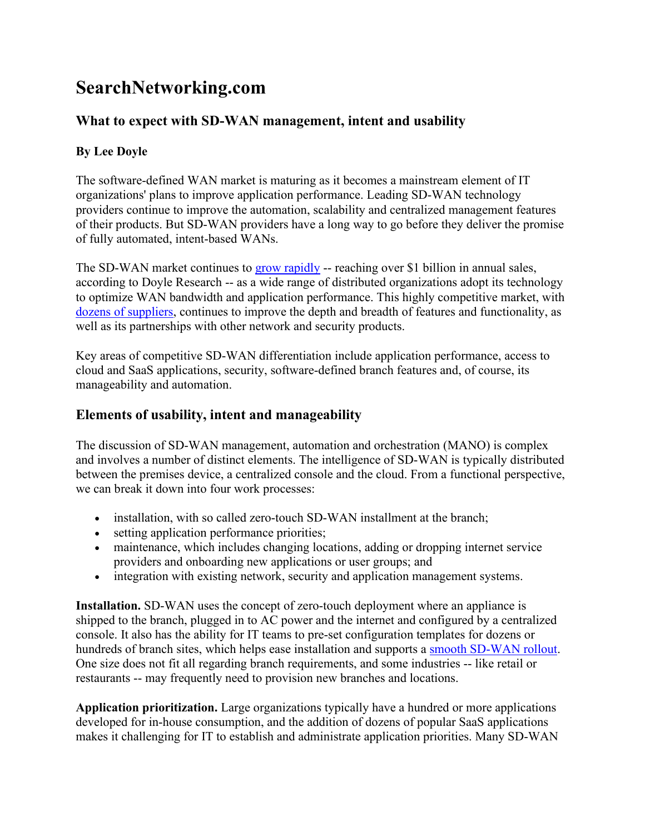# **SearchNetworking.com**

## **What to expect with SD-WAN management, intent and usability**

### **By Lee Doyle**

The software-defined WAN market is maturing as it becomes a mainstream element of IT organizations' plans to improve application performance. Leading SD-WAN technology providers continue to improve the automation, scalability and centralized management features of their products. But SD-WAN providers have a long way to go before they deliver the promise of fully automated, intent-based WANs.

The SD-WAN market continues to [grow rapidly](https://searchnetworking.techtarget.com/feature/SD-WAN-market-sees-continued-growth-room-for-mobile-support) -- reaching over \$1 billion in annual sales, according to Doyle Research -- as a wide range of distributed organizations adopt its technology to optimize WAN bandwidth and application performance. This highly competitive market, with [dozens of suppliers,](https://searchnetworking.techtarget.com/tip/Infographic-Compare-the-leading-SD-WAN-vendors-before-you-buy) continues to improve the depth and breadth of features and functionality, as well as its partnerships with other network and security products.

Key areas of competitive SD-WAN differentiation include application performance, access to cloud and SaaS applications, security, software-defined branch features and, of course, its manageability and automation.

### **Elements of usability, intent and manageability**

The discussion of SD-WAN management, automation and orchestration (MANO) is complex and involves a number of distinct elements. The intelligence of SD-WAN is typically distributed between the premises device, a centralized console and the cloud. From a functional perspective, we can break it down into four work processes:

- installation, with so called zero-touch SD-WAN installment at the branch;
- setting application performance priorities;
- maintenance, which includes changing locations, adding or dropping internet service providers and onboarding new applications or user groups; and
- integration with existing network, security and application management systems.

**Installation.** SD-WAN uses the concept of zero-touch deployment where an appliance is shipped to the branch, plugged in to AC power and the internet and configured by a centralized console. It also has the ability for IT teams to pre-set configuration templates for dozens or hundreds of branch sites, which helps ease installation and supports a [smooth SD-WAN rollout.](https://searchnetworking.techtarget.com/tip/Four-steps-to-prepare-for-an-SD-WAN-deployment) One size does not fit all regarding branch requirements, and some industries -- like retail or restaurants -- may frequently need to provision new branches and locations.

**Application prioritization.** Large organizations typically have a hundred or more applications developed for in-house consumption, and the addition of dozens of popular SaaS applications makes it challenging for IT to establish and administrate application priorities. Many SD-WAN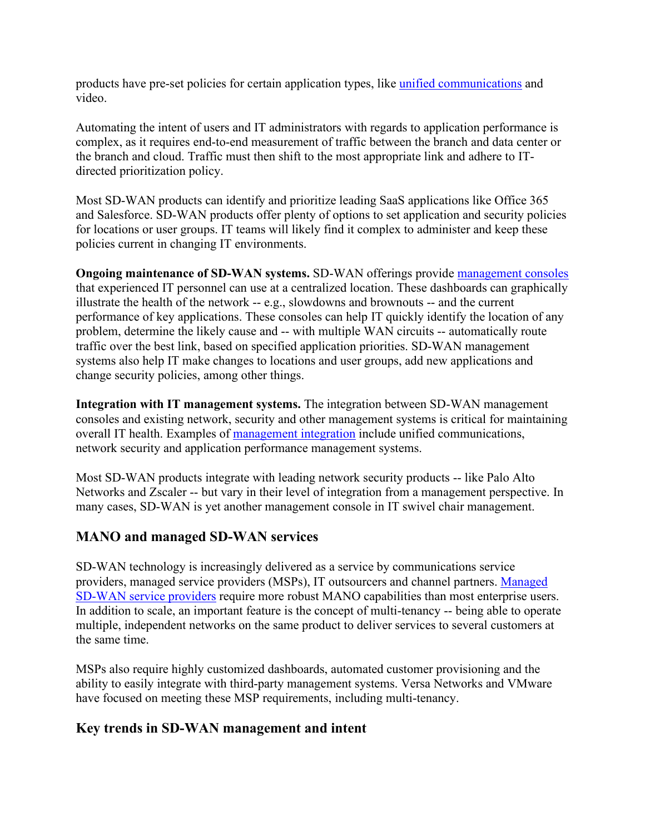products have pre-set policies for certain application types, like [unified communications](https://searchunifiedcommunications.techtarget.com/feature/UC-network-management-embraces-automation-AI-SD-WAN) and video.

Automating the intent of users and IT administrators with regards to application performance is complex, as it requires end-to-end measurement of traffic between the branch and data center or the branch and cloud. Traffic must then shift to the most appropriate link and adhere to ITdirected prioritization policy.

Most SD-WAN products can identify and prioritize leading SaaS applications like Office 365 and Salesforce. SD-WAN products offer plenty of options to set application and security policies for locations or user groups. IT teams will likely find it complex to administer and keep these policies current in changing IT environments.

**Ongoing maintenance of SD-WAN systems.** SD-WAN offerings provide [management consoles](https://searchnetworking.techtarget.com/tip/How-to-assess-an-SD-WAN-product-and-determine-which-you-need) that experienced IT personnel can use at a centralized location. These dashboards can graphically illustrate the health of the network -- e.g., slowdowns and brownouts -- and the current performance of key applications. These consoles can help IT quickly identify the location of any problem, determine the likely cause and -- with multiple WAN circuits -- automatically route traffic over the best link, based on specified application priorities. SD-WAN management systems also help IT make changes to locations and user groups, add new applications and change security policies, among other things.

**Integration with IT management systems.** The integration between SD-WAN management consoles and existing network, security and other management systems is critical for maintaining overall IT health. Examples of [management integration](https://searchnetworking.techtarget.com/tip/What-to-consider-when-integrating-SD-WAN-and-ITSM-tools) include unified communications, network security and application performance management systems.

Most SD-WAN products integrate with leading network security products -- like Palo Alto Networks and Zscaler -- but vary in their level of integration from a management perspective. In many cases, SD-WAN is yet another management console in IT swivel chair management.

#### **MANO and managed SD-WAN services**

SD-WAN technology is increasingly delivered as a service by communications service providers, managed service providers (MSPs), IT outsourcers and channel partners. [Managed](https://searchnetworking.techtarget.com/feature/Managed-SD-WAN-providers-ranked-in-new-market-report)  [SD-WAN service providers](https://searchnetworking.techtarget.com/feature/Managed-SD-WAN-providers-ranked-in-new-market-report) require more robust MANO capabilities than most enterprise users. In addition to scale, an important feature is the concept of multi-tenancy -- being able to operate multiple, independent networks on the same product to deliver services to several customers at the same time.

MSPs also require highly customized dashboards, automated customer provisioning and the ability to easily integrate with third-party management systems. Versa Networks and VMware have focused on meeting these MSP requirements, including multi-tenancy.

#### **Key trends in SD-WAN management and intent**